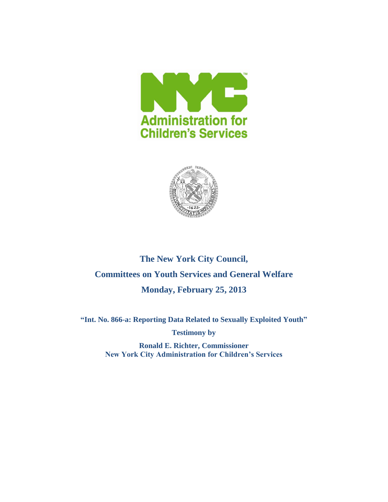



# **The New York City Council, Committees on Youth Services and General Welfare Monday, February 25, 2013**

**"Int. No. 866-a: Reporting Data Related to Sexually Exploited Youth"**

**Testimony by**

**Ronald E. Richter, Commissioner New York City Administration for Children's Services**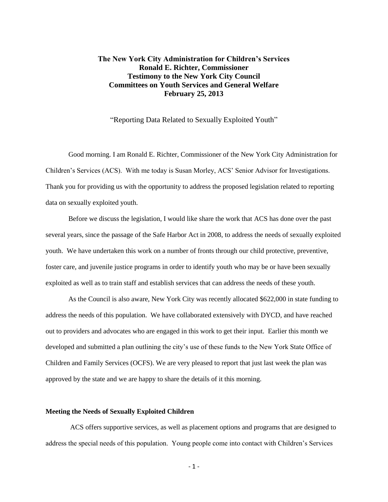# **The New York City Administration for Children's Services Ronald E. Richter, Commissioner Testimony to the New York City Council Committees on Youth Services and General Welfare February 25, 2013**

"Reporting Data Related to Sexually Exploited Youth"

Good morning. I am Ronald E. Richter, Commissioner of the New York City Administration for Children's Services (ACS). With me today is Susan Morley, ACS' Senior Advisor for Investigations. Thank you for providing us with the opportunity to address the proposed legislation related to reporting data on sexually exploited youth.

Before we discuss the legislation, I would like share the work that ACS has done over the past several years, since the passage of the Safe Harbor Act in 2008, to address the needs of sexually exploited youth. We have undertaken this work on a number of fronts through our child protective, preventive, foster care, and juvenile justice programs in order to identify youth who may be or have been sexually exploited as well as to train staff and establish services that can address the needs of these youth.

As the Council is also aware, New York City was recently allocated \$622,000 in state funding to address the needs of this population. We have collaborated extensively with DYCD, and have reached out to providers and advocates who are engaged in this work to get their input. Earlier this month we developed and submitted a plan outlining the city's use of these funds to the New York State Office of Children and Family Services (OCFS). We are very pleased to report that just last week the plan was approved by the state and we are happy to share the details of it this morning.

## **Meeting the Needs of Sexually Exploited Children**

ACS offers supportive services, as well as placement options and programs that are designed to address the special needs of this population. Young people come into contact with Children's Services

- 1 -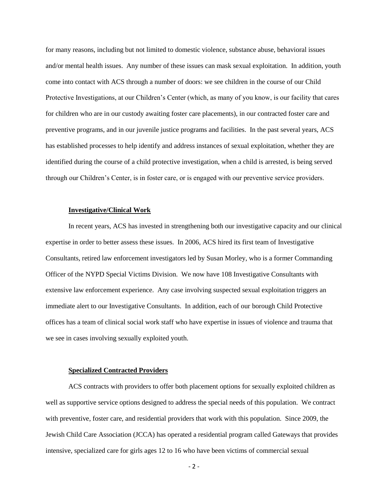for many reasons, including but not limited to domestic violence, substance abuse, behavioral issues and/or mental health issues. Any number of these issues can mask sexual exploitation. In addition, youth come into contact with ACS through a number of doors: we see children in the course of our Child Protective Investigations, at our Children's Center (which, as many of you know, is our facility that cares for children who are in our custody awaiting foster care placements), in our contracted foster care and preventive programs, and in our juvenile justice programs and facilities. In the past several years, ACS has established processes to help identify and address instances of sexual exploitation, whether they are identified during the course of a child protective investigation, when a child is arrested, is being served through our Children's Center, is in foster care, or is engaged with our preventive service providers.

#### **Investigative/Clinical Work**

In recent years, ACS has invested in strengthening both our investigative capacity and our clinical expertise in order to better assess these issues. In 2006, ACS hired its first team of Investigative Consultants, retired law enforcement investigators led by Susan Morley, who is a former Commanding Officer of the NYPD Special Victims Division. We now have 108 Investigative Consultants with extensive law enforcement experience. Any case involving suspected sexual exploitation triggers an immediate alert to our Investigative Consultants. In addition, each of our borough Child Protective offices has a team of clinical social work staff who have expertise in issues of violence and trauma that we see in cases involving sexually exploited youth.

#### **Specialized Contracted Providers**

ACS contracts with providers to offer both placement options for sexually exploited children as well as supportive service options designed to address the special needs of this population. We contract with preventive, foster care, and residential providers that work with this population. Since 2009, the Jewish Child Care Association (JCCA) has operated a residential program called Gateways that provides intensive, specialized care for girls ages 12 to 16 who have been victims of commercial sexual

- 2 -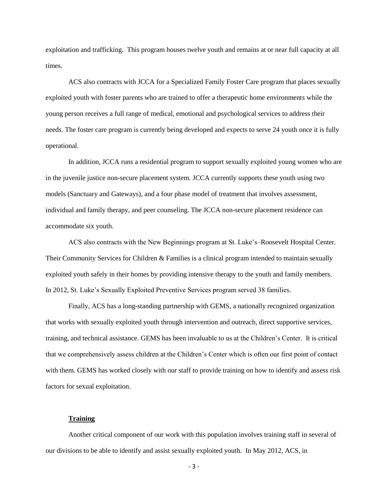exploitation and trafficking. This program houses twelve youth and remains at or near full capacity at all times.

ACS also contracts with JCCA for a Specialized Family Foster Care program that places sexually exploited youth with foster parents who are trained to offer a therapeutic home environments while the young person receives a full range of medical, emotional and psychological services to address their needs. The foster care program is currently being developed and expects to serve 24 youth once it is fully operational.

In addition, JCCA runs a residential program to support sexually exploited young women who are in the juvenile justice non-secure placement system. JCCA currently supports these youth using two models (Sanctuary and Gateways), and a four phase model of treatment that involves assessment, individual and family therapy, and peer counseling. The JCCA non-secure placement residence can accommodate six youth.

ACS also contracts with the New Beginnings program at St. Luke's–Roosevelt Hospital Center. Their Community Services for Children & Families is a clinical program intended to maintain sexually exploited youth safely in their homes by providing intensive therapy to the youth and family members. In 2012, St. Luke's Sexually Exploited Preventive Services program served 38 families.

Finally, ACS has a long-standing partnership with GEMS, a nationally recognized organization that works with sexually exploited youth through intervention and outreach, direct supportive services, training, and technical assistance. GEMS has been invaluable to us at the Children's Center. It is critical that we comprehensively assess children at the Children's Center which is often our first point of contact with them. GEMS has worked closely with our staff to provide training on how to identify and assess risk factors for sexual exploitation.

#### **Training**

Another critical component of our work with this population involves training staff in several of our divisions to be able to identify and assist sexually exploited youth. In May 2012, ACS, in

- 3 -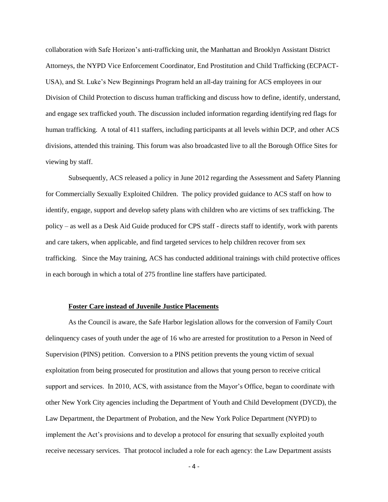collaboration with Safe Horizon's anti-trafficking unit, the Manhattan and Brooklyn Assistant District Attorneys, the NYPD Vice Enforcement Coordinator, End Prostitution and Child Trafficking (ECPACT-USA), and St. Luke's New Beginnings Program held an all-day training for ACS employees in our Division of Child Protection to discuss human trafficking and discuss how to define, identify, understand, and engage sex trafficked youth. The discussion included information regarding identifying red flags for human trafficking. A total of 411 staffers, including participants at all levels within DCP, and other ACS divisions, attended this training. This forum was also broadcasted live to all the Borough Office Sites for viewing by staff.

Subsequently, ACS released a policy in June 2012 regarding the Assessment and Safety Planning for Commercially Sexually Exploited Children. The policy provided guidance to ACS staff on how to identify, engage, support and develop safety plans with children who are victims of sex trafficking. The policy – as well as a Desk Aid Guide produced for CPS staff - directs staff to identify, work with parents and care takers, when applicable, and find targeted services to help children recover from sex trafficking. Since the May training, ACS has conducted additional trainings with child protective offices in each borough in which a total of 275 frontline line staffers have participated.

#### **Foster Care instead of Juvenile Justice Placements**

As the Council is aware, the Safe Harbor legislation allows for the conversion of Family Court delinquency cases of youth under the age of 16 who are arrested for prostitution to a Person in Need of Supervision (PINS) petition. Conversion to a PINS petition prevents the young victim of sexual exploitation from being prosecuted for prostitution and allows that young person to receive critical support and services. In 2010, ACS, with assistance from the Mayor's Office, began to coordinate with other New York City agencies including the Department of Youth and Child Development (DYCD), the Law Department, the Department of Probation, and the New York Police Department (NYPD) to implement the Act's provisions and to develop a protocol for ensuring that sexually exploited youth receive necessary services. That protocol included a role for each agency: the Law Department assists

- 4 -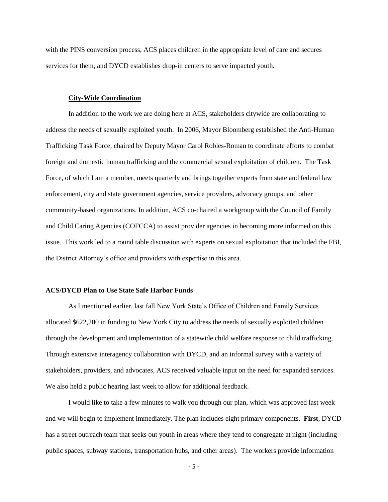with the PINS conversion process, ACS places children in the appropriate level of care and secures services for them, and DYCD establishes drop-in centers to serve impacted youth.

## **City-Wide Coordination**

In addition to the work we are doing here at ACS, stakeholders citywide are collaborating to address the needs of sexually exploited youth. In 2006, Mayor Bloomberg established the Anti-Human Trafficking Task Force, chaired by Deputy Mayor Carol Robles-Roman to coordinate efforts to combat foreign and domestic human trafficking and the commercial sexual exploitation of children. The Task Force, of which I am a member, meets quarterly and brings together experts from state and federal law enforcement, city and state government agencies, service providers, advocacy groups, and other community-based organizations. In addition, ACS co-chaired a workgroup with the Council of Family and Child Caring Agencies (COFCCA) to assist provider agencies in becoming more informed on this issue. This work led to a round table discussion with experts on sexual exploitation that included the FBI, the District Attorney's office and providers with expertise in this area.

# **ACS/DYCD Plan to Use State Safe Harbor Funds**

As I mentioned earlier, last fall New York State's Office of Children and Family Services allocated \$622,200 in funding to New York City to address the needs of sexually exploited children through the development and implementation of a statewide child welfare response to child trafficking. Through extensive interagency collaboration with DYCD, and an informal survey with a variety of stakeholders, providers, and advocates, ACS received valuable input on the need for expanded services. We also held a public hearing last week to allow for additional feedback.

I would like to take a few minutes to walk you through our plan, which was approved last week and we will begin to implement immediately. The plan includes eight primary components. **First**, DYCD has a street outreach team that seeks out youth in areas where they tend to congregate at night (including public spaces, subway stations, transportation hubs, and other areas). The workers provide information

- 5 -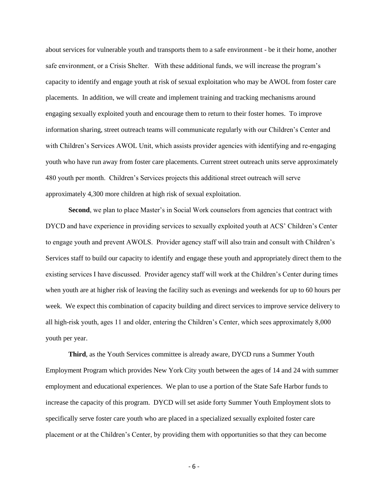about services for vulnerable youth and transports them to a safe environment - be it their home, another safe environment, or a Crisis Shelter. With these additional funds, we will increase the program's capacity to identify and engage youth at risk of sexual exploitation who may be AWOL from foster care placements. In addition, we will create and implement training and tracking mechanisms around engaging sexually exploited youth and encourage them to return to their foster homes. To improve information sharing, street outreach teams will communicate regularly with our Children's Center and with Children's Services AWOL Unit, which assists provider agencies with identifying and re-engaging youth who have run away from foster care placements. Current street outreach units serve approximately 480 youth per month. Children's Services projects this additional street outreach will serve approximately 4,300 more children at high risk of sexual exploitation.

**Second**, we plan to place Master's in Social Work counselors from agencies that contract with DYCD and have experience in providing services to sexually exploited youth at ACS' Children's Center to engage youth and prevent AWOLS. Provider agency staff will also train and consult with Children's Services staff to build our capacity to identify and engage these youth and appropriately direct them to the existing services I have discussed. Provider agency staff will work at the Children's Center during times when youth are at higher risk of leaving the facility such as evenings and weekends for up to 60 hours per week. We expect this combination of capacity building and direct services to improve service delivery to all high-risk youth, ages 11 and older, entering the Children's Center, which sees approximately 8,000 youth per year.

**Third**, as the Youth Services committee is already aware, DYCD runs a Summer Youth Employment Program which provides New York City youth between the ages of 14 and 24 with summer employment and educational experiences. We plan to use a portion of the State Safe Harbor funds to increase the capacity of this program. DYCD will set aside forty Summer Youth Employment slots to specifically serve foster care youth who are placed in a specialized sexually exploited foster care placement or at the Children's Center, by providing them with opportunities so that they can become

- 6 -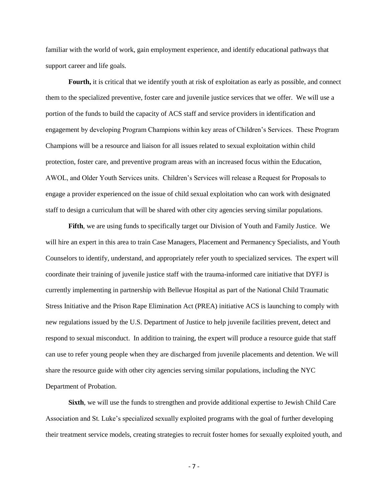familiar with the world of work, gain employment experience, and identify educational pathways that support career and life goals.

**Fourth**, it is critical that we identify youth at risk of exploitation as early as possible, and connect them to the specialized preventive, foster care and juvenile justice services that we offer. We will use a portion of the funds to build the capacity of ACS staff and service providers in identification and engagement by developing Program Champions within key areas of Children's Services. These Program Champions will be a resource and liaison for all issues related to sexual exploitation within child protection, foster care, and preventive program areas with an increased focus within the Education, AWOL, and Older Youth Services units. Children's Services will release a Request for Proposals to engage a provider experienced on the issue of child sexual exploitation who can work with designated staff to design a curriculum that will be shared with other city agencies serving similar populations.

**Fifth**, we are using funds to specifically target our Division of Youth and Family Justice. We will hire an expert in this area to train Case Managers, Placement and Permanency Specialists, and Youth Counselors to identify, understand, and appropriately refer youth to specialized services. The expert will coordinate their training of juvenile justice staff with the trauma-informed care initiative that DYFJ is currently implementing in partnership with Bellevue Hospital as part of the National Child Traumatic Stress Initiative and the Prison Rape Elimination Act (PREA) initiative ACS is launching to comply with new regulations issued by the U.S. Department of Justice to help juvenile facilities prevent, detect and respond to sexual misconduct. In addition to training, the expert will produce a resource guide that staff can use to refer young people when they are discharged from juvenile placements and detention. We will share the resource guide with other city agencies serving similar populations, including the NYC Department of Probation.

**Sixth**, we will use the funds to strengthen and provide additional expertise to Jewish Child Care Association and St. Luke's specialized sexually exploited programs with the goal of further developing their treatment service models, creating strategies to recruit foster homes for sexually exploited youth, and

- 7 -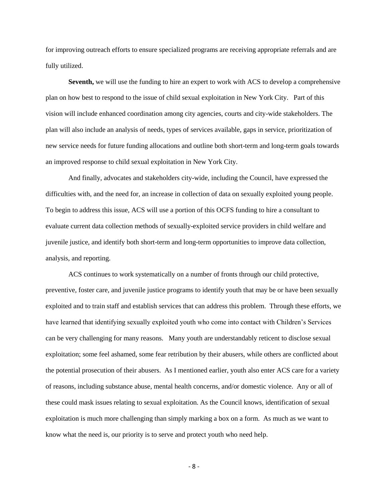for improving outreach efforts to ensure specialized programs are receiving appropriate referrals and are fully utilized.

**Seventh,** we will use the funding to hire an expert to work with ACS to develop a comprehensive plan on how best to respond to the issue of child sexual exploitation in New York City. Part of this vision will include enhanced coordination among city agencies, courts and city-wide stakeholders. The plan will also include an analysis of needs, types of services available, gaps in service, prioritization of new service needs for future funding allocations and outline both short-term and long-term goals towards an improved response to child sexual exploitation in New York City.

And finally, advocates and stakeholders city-wide, including the Council, have expressed the difficulties with, and the need for, an increase in collection of data on sexually exploited young people. To begin to address this issue, ACS will use a portion of this OCFS funding to hire a consultant to evaluate current data collection methods of sexually-exploited service providers in child welfare and juvenile justice, and identify both short-term and long-term opportunities to improve data collection, analysis, and reporting.

ACS continues to work systematically on a number of fronts through our child protective, preventive, foster care, and juvenile justice programs to identify youth that may be or have been sexually exploited and to train staff and establish services that can address this problem. Through these efforts, we have learned that identifying sexually exploited youth who come into contact with Children's Services can be very challenging for many reasons. Many youth are understandably reticent to disclose sexual exploitation; some feel ashamed, some fear retribution by their abusers, while others are conflicted about the potential prosecution of their abusers. As I mentioned earlier, youth also enter ACS care for a variety of reasons, including substance abuse, mental health concerns, and/or domestic violence. Any or all of these could mask issues relating to sexual exploitation. As the Council knows, identification of sexual exploitation is much more challenging than simply marking a box on a form. As much as we want to know what the need is, our priority is to serve and protect youth who need help.

- 8 -